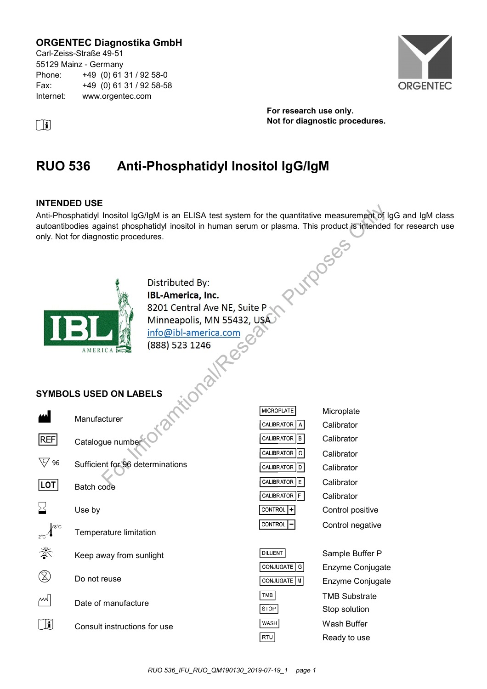### **ORGENTEC Diagnostika GmbH**

Carl-Zeiss-Straße 49-51 55129 Mainz - Germany Phone: +49 (0) 61 31 / 92 58-0 Fax: +49 (0) 61 31 / 92 58-58 Internet: www.orgentec.com



**For research use only. i Not for diagnostic procedures.** 

# **RUO 536 Anti-Phosphatidyl Inositol IgG/IgM**

### **INTENDED USE**

Anti-Phosphatidyl Inositol IgG/IgM is an ELISA test system for the quantitative measurement of IgG and IgM class autoantibodies against phosphatidyl inositol in human serum or plasma. This product is intended for research use<br>only. Not for diagnostic procedures.<br>Distributed By:<br>**IBL-Amaximum** only. Not for diagnostic procedures. For Incident Informations<br>
Institute Information in the search of the quantitative measurement of I<br>
and the photostic procedures.<br>
Information Is and Contral Ave NE, Suite P<br>
Minneapolis, MN 55432, USA<br>
Info@ibl-america.c



### **SYMBOLS USED ON LABELS**

|            | Manufacturer                 |
|------------|------------------------------|
| <b>REF</b> | Catalogue number             |
| ່ 96       | Sufficient for 96 determinat |
| LOT        | Batch code                   |
| ∑≺         | Use by                       |
|            | Temperature limitation       |
| 淡          | Keep away from sunlight      |
|            | Do not reuse                 |
|            | Date of manufacture          |
|            | Consult instructions for use |

| <b>MICROPLATE</b>       | Microplate       |
|-------------------------|------------------|
| <b>CALIBRATOR</b><br>A  | Calibrator       |
| CALIBRATOR<br>в         | Calibrator       |
| CALIBRATOR   C          | Calibrator       |
| <b>CALIBRATOR</b><br>D  | Calibrator       |
| <b>CALIBRATOR</b><br>Е. | Calibrator       |
| <b>CALIBRATOR</b>       | Calibrator       |
| <b>CONTROL</b>          | Control positive |
| <b>CONTROL</b>          | Control negative |
|                         |                  |

| <b>DILUENT</b> | Sample Buffer P      |
|----------------|----------------------|
| CONJUGATE G    | Enzyme Conjugate     |
| CONJUGATE M    | Enzyme Conjugate     |
| TMB            | <b>TMB Substrate</b> |
| $ $ STOP       | Stop solution        |
| <b>WASH</b>    | Wash Buffer          |
| RTU            | Ready to use         |

tions

*RUO 536\_IFU\_RUO\_QM190130\_2019-07-19\_1 page 1*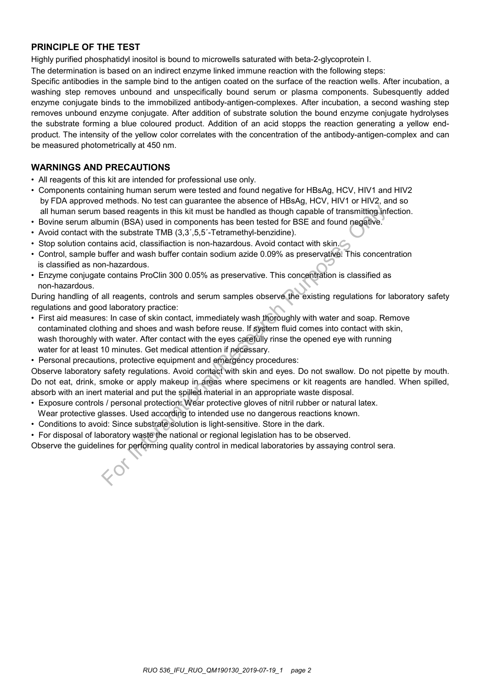### **PRINCIPLE OF THE TEST**

Highly purified phosphatidyl inositol is bound to microwells saturated with beta-2-glycoprotein I.

The determination is based on an indirect enzyme linked immune reaction with the following steps:

Specific antibodies in the sample bind to the antigen coated on the surface of the reaction wells. After incubation, a washing step removes unbound and unspecifically bound serum or plasma components. Subesquently added enzyme conjugate binds to the immobilized antibody-antigen-complexes. After incubation, a second washing step removes unbound enzyme conjugate. After addition of substrate solution the bound enzyme conjugate hydrolyses the substrate forming a blue coloured product. Addition of an acid stopps the reaction generating a yellow endproduct. The intensity of the yellow color correlates with the concentration of the antibody-antigen-complex and can be measured photometrically at 450 nm.

### **WARNINGS AND PRECAUTIONS**

- All reagents of this kit are intended for professional use only.
- Components containing human serum were tested and found negative for HBsAg, HCV, HIV1 and HIV2 by FDA approved methods. No test can guarantee the absence of HBsAg, HCV, HIV1 or HIV2, and so all human serum based reagents in this kit must be handled as though capable of transmitting infection.
- Bovine serum albumin (BSA) used in components has been tested for BSE and found negative.
- Avoid contact with the substrate TMB (3,3',5,5'-Tetramethyl-benzidine).
- Stop solution contains acid, classifiaction is non-hazardous. Avoid contact with skin.
- Control, sample buffer and wash buffer contain sodium azide 0.09% as preservative. This concentration is classified as non-hazardous.
- Enzyme conjugate contains ProClin 300 0.05% as preservative. This concentration is classified as non-hazardous.

During handling of all reagents, controls and serum samples observe the existing regulations for laboratory safety regulations and good laboratory practice:

- First aid measures: In case of skin contact, immediately wash thoroughly with water and soap. Remove contaminated clothing and shoes and wash before reuse. If system fluid comes into contact with skin, wash thoroughly with water. After contact with the eyes carefully rinse the opened eye with running water for at least 10 minutes. Get medical attention if necessary. based reagents in this kit must be handled as though capable of transmitting informin (BSA) used in components has been tested for BSE and found negative. The substrate TMB (3,3',5,5-Tetramethyl-benzidine). The substrate t
- Personal precautions, protective equipment and emergency procedures:

Observe laboratory safety regulations. Avoid contact with skin and eyes. Do not swallow. Do not pipette by mouth. Do not eat, drink, smoke or apply makeup in areas where specimens or kit reagents are handled. When spilled, absorb with an inert material and put the spilled material in an appropriate waste disposal.

- Exposure controls / personal protection: Wear protective gloves of nitril rubber or natural latex.
- Wear protective glasses. Used according to intended use no dangerous reactions known.
- Conditions to avoid: Since substrate solution is light-sensitive. Store in the dark.
- For disposal of laboratory waste the national or regional legislation has to be observed.

Observe the guidelines for performing quality control in medical laboratories by assaying control sera.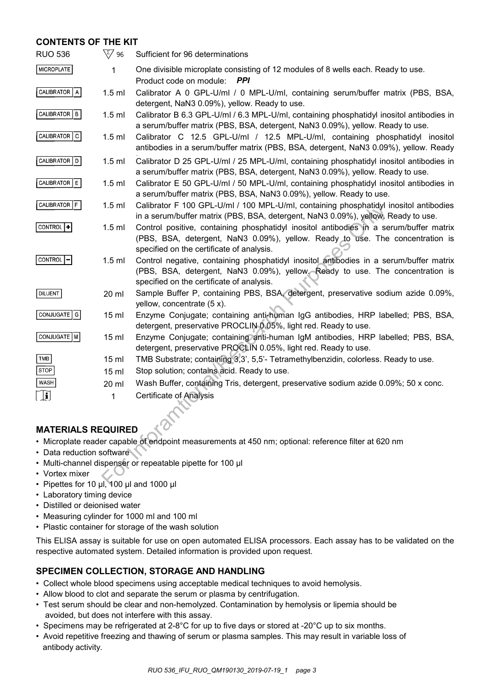### **CONTENTS OF THE KIT**

| <b>RUO 536</b>                                                                                       | $\sqrt{\zeta/2}$ 96 | Sufficient for 96 determinations                                                                                                                                                                                     |  |  |
|------------------------------------------------------------------------------------------------------|---------------------|----------------------------------------------------------------------------------------------------------------------------------------------------------------------------------------------------------------------|--|--|
| <b>MICROPLATE</b>                                                                                    | 1                   | One divisible microplate consisting of 12 modules of 8 wells each. Ready to use.<br>Product code on module:<br><b>PPI</b>                                                                                            |  |  |
| CALIBRATOR   A                                                                                       | $1.5$ ml            | Calibrator A 0 GPL-U/ml / 0 MPL-U/ml, containing serum/buffer matrix (PBS, BSA,<br>detergent, NaN3 0.09%), yellow. Ready to use.                                                                                     |  |  |
| CALIBRATOR   B                                                                                       | $1.5$ ml            | Calibrator B 6.3 GPL-U/ml / 6.3 MPL-U/ml, containing phosphatidyl inositol antibodies in<br>a serum/buffer matrix (PBS, BSA, detergent, NaN3 0.09%), yellow. Ready to use.                                           |  |  |
| CALIBRATOR C                                                                                         | $1.5$ ml            | Calibrator C 12.5 GPL-U/ml / 12.5 MPL-U/ml, containing phosphatidyl inositol<br>antibodies in a serum/buffer matrix (PBS, BSA, detergent, NaN3 0.09%), yellow. Ready                                                 |  |  |
| CALIBRATOR   D                                                                                       | $1.5$ ml            | Calibrator D 25 GPL-U/ml / 25 MPL-U/ml, containing phosphatidyl inositol antibodies in<br>a serum/buffer matrix (PBS, BSA, detergent, NaN3 0.09%), yellow. Ready to use.                                             |  |  |
| CALIBRATOR E                                                                                         | $1.5$ ml            | Calibrator E 50 GPL-U/ml / 50 MPL-U/ml, containing phosphatidyl inositol antibodies in<br>a serum/buffer matrix (PBS, BSA, NaN3 0.09%), yellow. Ready to use.                                                        |  |  |
| CALIBRATOR F                                                                                         | $1.5$ ml            | Calibrator F 100 GPL-U/ml / 100 MPL-U/ml, containing phosphatidyl inositol antibodies<br>in a serum/buffer matrix (PBS, BSA, detergent, NaN3 0.09%), yellow. Ready to use.                                           |  |  |
| CONTROL +                                                                                            | $1.5$ ml            | Control positive, containing phosphatidyl inositol antibodies in a serum/buffer matrix<br>(PBS, BSA, detergent, NaN3 0.09%), yellow. Ready to use. The concentration is<br>specified on the certificate of analysis. |  |  |
| <b>CONTROL</b>                                                                                       | $1.5$ ml            | Control negative, containing phosphatidyl inositol antibodies in a serum/buffer matrix<br>(PBS, BSA, detergent, NaN3 0.09%), yellow. Ready to use. The concentration is<br>specified on the certificate of analysis. |  |  |
| <b>DILUENT</b>                                                                                       | 20 ml               | Sample Buffer P, containing PBS, BSA, detergent, preservative sodium azide 0.09%,<br>yellow, concentrate $(5 x)$ .                                                                                                   |  |  |
| CONJUGATE   G                                                                                        | $15$ ml             | Enzyme Conjugate; containing anti-human IgG antibodies, HRP labelled; PBS, BSA,<br>detergent, preservative PROCLIN 0.05%, light red. Ready to use.                                                                   |  |  |
| CONJUGATE   M                                                                                        | 15 <sub>ml</sub>    | Enzyme Conjugate; containing anti-human IgM antibodies, HRP labelled; PBS, BSA,<br>detergent, preservative PROCLIN 0.05%, light red. Ready to use.                                                                   |  |  |
| TMB                                                                                                  | 15 <sub>ml</sub>    | TMB Substrate; containing 3,3', 5,5'- Tetramethylbenzidin, colorless. Ready to use.                                                                                                                                  |  |  |
| <b>STOP</b>                                                                                          | 15 <sub>ml</sub>    | Stop solution; contains acid. Ready to use.                                                                                                                                                                          |  |  |
| <b>WASH</b>                                                                                          | 20 ml               | Wash Buffer, containing Tris, detergent, preservative sodium azide 0.09%; 50 x conc.                                                                                                                                 |  |  |
| $\left[\begin{smallmatrix}\mathbf{1}\end{smallmatrix}\right]$                                        | 1                   | <b>Certificate of Analysis</b>                                                                                                                                                                                       |  |  |
|                                                                                                      |                     |                                                                                                                                                                                                                      |  |  |
| <b>MATERIALS REQUIRED</b>                                                                            |                     |                                                                                                                                                                                                                      |  |  |
| · Microplate reader capable of endpoint measurements at 450 nm; optional: reference filter at 620 nm |                     |                                                                                                                                                                                                                      |  |  |
| • Data reduction software                                                                            |                     |                                                                                                                                                                                                                      |  |  |
| • Multi-channel dispenser or repeatable pipette for 100 µl                                           |                     |                                                                                                                                                                                                                      |  |  |
| • Vortex mixer                                                                                       |                     |                                                                                                                                                                                                                      |  |  |
| • Pinettes for 10 ul 100 ul and 1000 ul                                                              |                     |                                                                                                                                                                                                                      |  |  |

### **MATERIALS REQUIRED**

- Microplate reader capable of endpoint measurements at 450 nm; optional: reference filter at 620 nm
- Data reduction software
- Multi-channel dispenser or repeatable pipette for 100 μl
- Vortex mixer
- Pipettes for 10 μl, 100 μl and 1000 μl
- Laboratory timing device
- Distilled or deionised water
- Measuring cylinder for 1000 ml and 100 ml
- Plastic container for storage of the wash solution

This ELISA assay is suitable for use on open automated ELISA processors. Each assay has to be validated on the respective automated system. Detailed information is provided upon request.

### **SPECIMEN COLLECTION, STORAGE AND HANDLING**

- Collect whole blood specimens using acceptable medical techniques to avoid hemolysis.
- Allow blood to clot and separate the serum or plasma by centrifugation.
- Test serum should be clear and non-hemolyzed. Contamination by hemolysis or lipemia should be avoided, but does not interfere with this assay.
- Specimens may be refrigerated at 2-8°C for up to five days or stored at -20°C up to six months.
- Avoid repetitive freezing and thawing of serum or plasma samples. This may result in variable loss of antibody activity.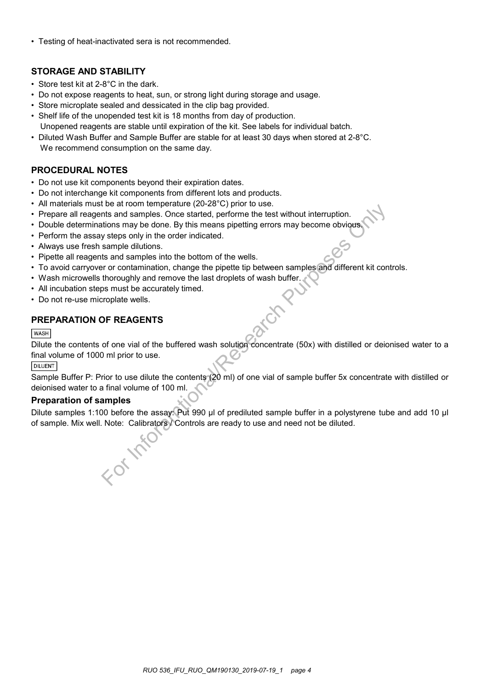• Testing of heat-inactivated sera is not recommended.

### **STORAGE AND STABILITY**

- Store test kit at 2-8°C in the dark.
- Do not expose reagents to heat, sun, or strong light during storage and usage.
- Store microplate sealed and dessicated in the clip bag provided.
- Shelf life of the unopended test kit is 18 months from day of production. Unopened reagents are stable until expiration of the kit. See labels for individual batch.
- Diluted Wash Buffer and Sample Buffer are stable for at least 30 days when stored at 2-8°C. We recommend consumption on the same day.

### **PROCEDURAL NOTES**

- Do not use kit components beyond their expiration dates.
- Do not interchange kit components from different lots and products.
- All materials must be at room temperature (20-28°C) prior to use.
- Prepare all reagents and samples. Once started, performe the test without interruption.
- Double determinations may be done. By this means pipetting errors may become obvious.
- Perform the assay steps only in the order indicated.
- Always use fresh sample dilutions.
- Pipette all reagents and samples into the bottom of the wells.
- To avoid carryover or contamination, change the pipette tip between samples and different kit controls.
- Wash microwells thoroughly and remove the last droplets of wash buffer.
- All incubation steps must be accurately timed.
- Do not re-use microplate wells.

### **PREPARATION OF REAGENTS**

#### **WASH**

Dilute the contents of one vial of the buffered wash solution concentrate (50x) with distilled or deionised water to a final volume of 1000 ml prior to use. to exit of the pleading (2020 c) prior to use.<br>
This and samples. Once started, performe the test without interruption.<br>
This and samples once started, performe the test without interruption.<br>
Stap only in the order indica

#### **DILUENT**

Sample Buffer P: Prior to use dilute the contents (20 ml) of one vial of sample buffer 5x concentrate with distilled or deionised water to a final volume of 100 ml.

#### **Preparation of samples**

Dilute samples 1:100 before the assay: Put 990 µl of prediluted sample buffer in a polystyrene tube and add 10 µl of sample. Mix well. Note: Calibrators / Controls are ready to use and need not be diluted.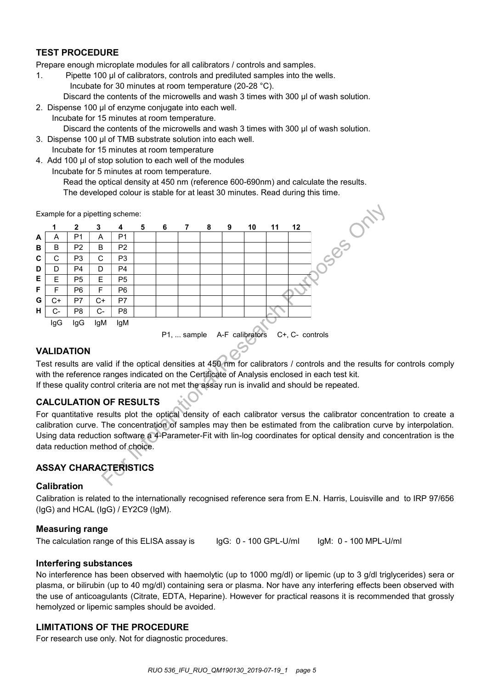### **TEST PROCEDURE**

Prepare enough microplate modules for all calibrators / controls and samples.

- 1. Pipette 100 µl of calibrators, controls and prediluted samples into the wells. Incubate for 30 minutes at room temperature (20-28 °C). Discard the contents of the microwells and wash 3 times with 300 ul of wash solution.
- 2. Dispense 100 μl of enzyme conjugate into each well.
	- Incubate for 15 minutes at room temperature.
		- Discard the contents of the microwells and wash 3 times with 300 μl of wash solution.
- 3. Dispense 100 μl of TMB substrate solution into each well.
- Incubate for 15 minutes at room temperature
- 4. Add 100 μl of stop solution to each well of the modules
	- Incubate for 5 minutes at room temperature.
		- Read the optical density at 450 nm (reference 600-690nm) and calculate the results.

Example for a pipetting scheme:



#### **VALIDATION**

Test results are valid if the optical densities at 450 nm for calibrators / controls and the results for controls comply with the reference ranges indicated on the Certificate of Analysis enclosed in each test kit. If these quality control criteria are not met the assay run is invalid and should be repeated.

### **CALCULATION OF RESULTS**

For quantitative results plot the optical density of each calibrator versus the calibrator concentration to create a calibration curve. The concentration of samples may then be estimated from the calibration curve by interpolation. Using data reduction software a 4-Parameter-Fit with lin-log coordinates for optical density and concentration is the data reduction method of choice.

## **ASSAY CHARACTERISTICS**

#### **Calibration**

Calibration is related to the internationally recognised reference sera from E.N. Harris, Louisville and to IRP 97/656 (IgG) and HCAL (IgG) / EY2C9 (IgM).

#### **Measuring range**

The calculation range of this ELISA assay is IgG: 0 - 100 GPL-U/ml IgM: 0 - 100 MPL-U/ml

#### **Interfering substances**

No interference has been observed with haemolytic (up to 1000 mg/dl) or lipemic (up to 3 g/dl triglycerides) sera or plasma, or bilirubin (up to 40 mg/dl) containing sera or plasma. Nor have any interfering effects been observed with the use of anticoagulants (Citrate, EDTA, Heparine). However for practical reasons it is recommended that grossly hemolyzed or lipemic samples should be avoided.

### **LIMITATIONS OF THE PROCEDURE**

For research use only. Not for diagnostic procedures.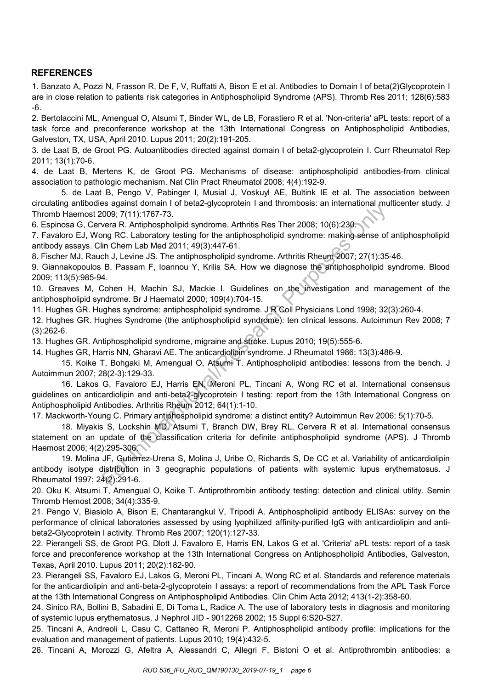### **REFERENCES**

1. Banzato A, Pozzi N, Frasson R, De F, V, Ruffatti A, Bison E et al. Antibodies to Domain I of beta(2)Glycoprotein I are in close relation to patients risk categories in Antiphospholipid Syndrome (APS). Thromb Res 2011; 128(6):583 -6.

2. Bertolaccini ML, Amengual O, Atsumi T, Binder WL, de LB, Forastiero R et al. 'Non-criteria' aPL tests: report of a task force and preconference workshop at the 13th International Congress on Antiphospholipid Antibodies, Galveston, TX, USA, April 2010. Lupus 2011; 20(2):191-205.

3. de Laat B, de Groot PG. Autoantibodies directed against domain I of beta2-glycoprotein I. Curr Rheumatol Rep 2011; 13(1):70-6.

4. de Laat B, Mertens K, de Groot PG. Mechanisms of disease: antiphospholipid antibodies-from clinical association to pathologic mechanism. Nat Clin Pract Rheumatol 2008; 4(4):192-9.

5. de Laat B, Pengo V, Pabinger I, Musial J, Voskuyl AE, Bultink IE et al. The association between circulating antibodies against domain I of beta2-glycoprotein I and thrombosis: an international multicenter study. J Thromb Haemost 2009; 7(11):1767-73.

6. Espinosa G, Cervera R. Antiphospholipid syndrome. Arthritis Res Ther 2008; 10(6):230.

7. Favaloro EJ, Wong RC. Laboratory testing for the antiphospholipid syndrome: making sense of antiphospholipid antibody assays. Clin Chem Lab Med 2011; 49(3):447-61.

8. Fischer MJ, Rauch J, Levine JS. The antiphospholipid syndrome. Arthritis Rheum 2007; 27(1):35-46.

9. Giannakopoulos B, Passam F, Ioannou Y, Krilis SA. How we diagnose the antiphospholipid syndrome. Blood 2009; 113(5):985-94.

10. Greaves M, Cohen H, Machin SJ, Mackie I. Guidelines on the investigation and management of the antiphospholipid syndrome. Br J Haematol 2000; 109(4):704-15.

11. Hughes GR. Hughes syndrome: antiphospholipid syndrome. J R Coll Physicians Lond 1998; 32(3):260-4.

12. Hughes GR. Hughes Syndrome (the antiphospholipid syndrome): ten clinical lessons. Autoimmun Rev 2008; 7 (3):262-6.

13. Hughes GR. Antiphospholipid syndrome, migraine and stroke. Lupus 2010; 19(5):555-6.

14. Hughes GR, Harris NN, Gharavi AE. The anticardiolipin syndrome. J Rheumatol 1986; 13(3):486-9.

15. Koike T, Bohgaki M, Amengual O, Atsumi T. Antiphospholipid antibodies: lessons from the bench. J Autoimmun 2007; 28(2-3):129-33.

16. Lakos G, Favaloro EJ, Harris EN, Meroni PL, Tincani A, Wong RC et al. International consensus guidelines on anticardiolipin and anti-beta2-glycoprotein I testing: report from the 13th International Congress on Antiphospholipid Antibodies. Arthritis Rheum 2012; 64(1):1-10. Solignes Syldrome (the antiphospholipid syldrome. Arthritis Research Conditions (1009; 7(11):1767-73.<br>
Evera R. Antiphospholipid syndrome. Arthritis Res Ther 2008; 10(6):230.<br>
In Chem Lab Med 2011; 49(3):447-61.<br>
In Chem L

17. Mackworth-Young C. Primary antiphospholipid syndrome: a distinct entity? Autoimmun Rev 2006; 5(1):70-5.

18. Miyakis S, Lockshin MD, Atsumi T, Branch DW, Brey RL, Cervera R et al. International consensus statement on an update of the classification criteria for definite antiphospholipid syndrome (APS). J Thromb Haemost 2006; 4(2):295-306.

19. Molina JF, Gutierrez-Urena S, Molina J, Uribe O, Richards S, De CC et al. Variability of anticardiolipin antibody isotype distribution in 3 geographic populations of patients with systemic lupus erythematosus. J Rheumatol 1997; 24(2):291-6.

20. Oku K, Atsumi T, Amengual O, Koike T. Antiprothrombin antibody testing: detection and clinical utility. Semin Thromb Hemost 2008; 34(4):335-9.

21. Pengo V, Biasiolo A, Bison E, Chantarangkul V, Tripodi A. Antiphospholipid antibody ELISAs: survey on the performance of clinical laboratories assessed by using lyophilized affinity-purified IgG with anticardiolipin and antibeta2-Glycoprotein I activity. Thromb Res 2007; 120(1):127-33.

22. Pierangeli SS, de Groot PG, Dlott J, Favaloro E, Harris EN, Lakos G et al. 'Criteria' aPL tests: report of a task force and preconference workshop at the 13th International Congress on Antiphospholipid Antibodies, Galveston, Texas, April 2010. Lupus 2011; 20(2):182-90.

23. Pierangeli SS, Favaloro EJ, Lakos G, Meroni PL, Tincani A, Wong RC et al. Standards and reference materials for the anticardiolipin and anti-beta-2-glycoprotein I assays: a report of recommendations from the APL Task Force at the 13th International Congress on Antiphospholipid Antibodies. Clin Chim Acta 2012; 413(1-2):358-60.

24. Sinico RA, Bollini B, Sabadini E, Di Toma L, Radice A. The use of laboratory tests in diagnosis and monitoring of systemic lupus erythematosus. J Nephrol JID - 9012268 2002; 15 Suppl 6:S20-S27.

25. Tincani A, Andreoli L, Casu C, Cattaneo R, Meroni P. Antiphospholipid antibody profile: implications for the evaluation and management of patients. Lupus 2010; 19(4):432-5.

26. Tincani A, Morozzi G, Afeltra A, Alessandri C, Allegri F, Bistoni O et al. Antiprothrombin antibodies: a